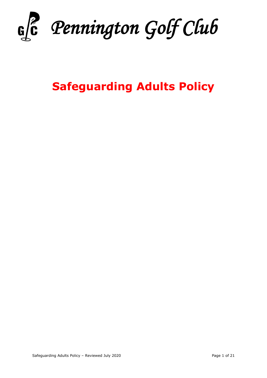

**Safeguarding Adults Policy**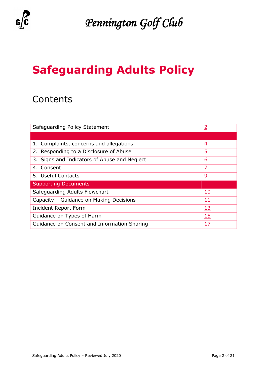

## **Safeguarding Adults Policy**

## **Contents**

| Safeguarding Policy Statement                | $\overline{2}$ |
|----------------------------------------------|----------------|
|                                              |                |
| 1. Complaints, concerns and allegations      | $\overline{4}$ |
| 2. Responding to a Disclosure of Abuse       | <u>5</u>       |
| 3. Signs and Indicators of Abuse and Neglect | <u>6</u>       |
| 4. Consent                                   | $\overline{Z}$ |
| 5. Useful Contacts                           | <u>୨</u>       |
| <b>Supporting Documents</b>                  |                |
| Safeguarding Adults Flowchart                | <u> 10</u>     |
| Capacity - Guidance on Making Decisions      | 11             |
| Incident Report Form                         | <u>13</u>      |
| 15<br>Guidance on Types of Harm              |                |
| Guidance on Consent and Information Sharing  | <u> 17</u>     |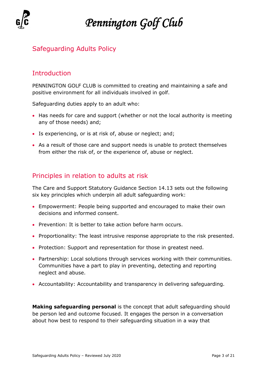

## Safeguarding Adults Policy

### <span id="page-2-0"></span>**Introduction**

PENNINGTON GOLF CLUB is committed to creating and maintaining a safe and positive environment for all individuals involved in golf.

Safeguarding duties apply to an adult who:

- Has needs for care and support (whether or not the local authority is meeting any of those needs) and;
- Is experiencing, or is at risk of, abuse or neglect; and;
- As a result of those care and support needs is unable to protect themselves from either the risk of, or the experience of, abuse or neglect.

## Principles in relation to adults at risk

The Care and Support Statutory Guidance Section 14.13 sets out the following six key principles which underpin all adult safeguarding work:

- Empowerment: People being supported and encouraged to make their own decisions and informed consent.
- Prevention: It is better to take action before harm occurs.
- Proportionality: The least intrusive response appropriate to the risk presented.
- Protection: Support and representation for those in greatest need.
- Partnership: Local solutions through services working with their communities. Communities have a part to play in preventing, detecting and reporting neglect and abuse.
- Accountability: Accountability and transparency in delivering safeguarding.

**Making safeguarding personal** is the concept that adult safeguarding should be person led and outcome focused. It engages the person in a conversation about how best to respond to their safeguarding situation in a way that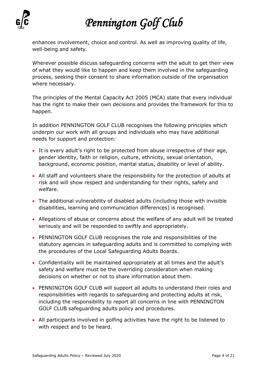

enhances involvement, choice and control. As well as improving quality of life, well-being and safety.

Wherever possible discuss safeguarding concerns with the adult to get their view of what they would like to happen and keep them involved in the safeguarding process, seeking their consent to share information outside of the organisation where necessary.

The principles of the Mental Capacity Act 2005 (MCA) state that every individual has the right to make their own decisions and provides the framework for this to happen.

In addition PENNINGTON GOLF CLUB recognises the following principles which underpin our work with all groups and individuals who may have additional needs for support and protection:

- It is every adult's right to be protected from abuse irrespective of their age, gender identity, faith or religion, culture, ethnicity, sexual orientation, background, economic position, marital status, disability or level of ability.
- All staff and volunteers share the responsibility for the protection of adults at risk and will show respect and understanding for their rights, safety and welfare.
- The additional vulnerability of disabled adults (including those with invisible disabilities, learning and communication differences) is recognised.
- Allegations of abuse or concerns about the welfare of any adult will be treated seriously and will be responded to swiftly and appropriately.
- PENNINGTON GOLF CLUB recognises the role and responsibilities of the statutory agencies in safeguarding adults and is committed to complying with the procedures of the Local Safeguarding Adults Boards.
- Confidentiality will be maintained appropriately at all times and the adult's safety and welfare must be the overriding consideration when making decisions on whether or not to share information about them.
- PENNINGTON GOLF CLUB will support all adults to understand their roles and responsibilities with regards to safeguarding and protecting adults at risk, including the responsibility to report all concerns in line with PENNINGTON GOLF CLUB safeguarding adults policy and procedures.
- All participants involved in golfing activities have the right to be listened to with respect and to be heard.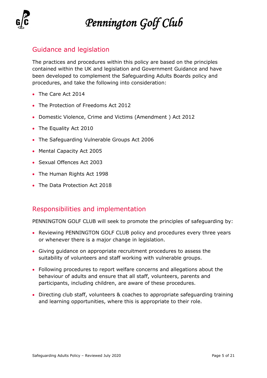

### Guidance and legislation

The practices and procedures within this policy are based on the principles contained within the UK and legislation and Government Guidance and have been developed to complement the Safeguarding Adults Boards policy and procedures, and take the following into consideration:

- The Care Act 2014
- The Protection of Freedoms Act 2012
- Domestic Violence, Crime and Victims (Amendment ) Act 2012
- The Equality Act 2010
- The Safeguarding Vulnerable Groups Act 2006
- Mental Capacity Act 2005
- Sexual Offences Act 2003
- The Human Rights Act 1998
- The Data Protection Act 2018

## Responsibilities and implementation

PENNINGTON GOLF CLUB will seek to promote the principles of safeguarding by:

- Reviewing PENNINGTON GOLF CLUB policy and procedures every three years or whenever there is a major change in legislation.
- Giving guidance on appropriate recruitment procedures to assess the suitability of volunteers and staff working with vulnerable groups.
- Following procedures to report welfare concerns and allegations about the behaviour of adults and ensure that all staff, volunteers, parents and participants, including children, are aware of these procedures.
- Directing club staff, volunteers & coaches to appropriate safeguarding training and learning opportunities, where this is appropriate to their role.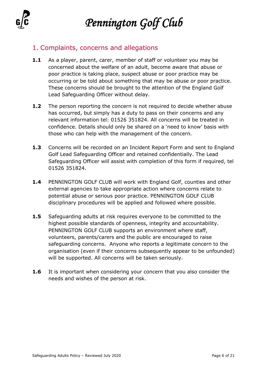## <span id="page-5-0"></span>1. Complaints, concerns and allegations

- **1.1** As a player, parent, carer, member of staff or volunteer you may be concerned about the welfare of an adult, become aware that abuse or poor practice is taking place, suspect abuse or poor practice may be occurring or be told about something that may be abuse or poor practice. These concerns should be brought to the attention of the England Golf Lead Safeguarding Officer without delay.
- **1.2** The person reporting the concern is not required to decide whether abuse has occurred, but simply has a duty to pass on their concerns and any relevant information tel: 01526 351824. All concerns will be treated in confidence. Details should only be shared on a 'need to know' basis with those who can help with the management of the concern.
- **1.3** Concerns will be recorded on an Incident Report Form and sent to England Golf Lead Safeguarding Officer and retained confidentially. The Lead Safeguarding Officer will assist with completion of this form if required, tel 01526 351824.
- **1.4** PENNINGTON GOLF CLUB will work with England Golf, counties and other external agencies to take appropriate action where concerns relate to potential abuse or serious poor practice. PENNINGTON GOLF CLUB disciplinary procedures will be applied and followed where possible.
- **1.5** Safeguarding adults at risk requires everyone to be committed to the highest possible standards of openness, integrity and accountability. PENNINGTON GOLF CLUB supports an environment where staff, volunteers, parents/carers and the public are encouraged to raise safeguarding concerns. Anyone who reports a legitimate concern to the organisation (even if their concerns subsequently appear to be unfounded) will be supported. All concerns will be taken seriously.
- **1.6** It is important when considering your concern that you also consider the needs and wishes of the person at risk.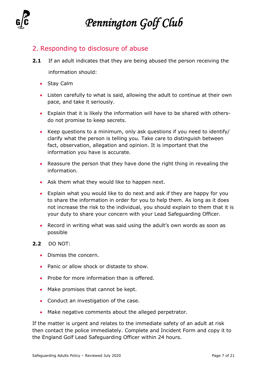## <span id="page-6-0"></span>2. Responding to disclosure of abuse

**2.1** If an adult indicates that they are being abused the person receiving the

information should:

- Stay Calm
- Listen carefully to what is said, allowing the adult to continue at their own pace, and take it seriously.
- Explain that it is likely the information will have to be shared with othersdo not promise to keep secrets.
- Keep questions to a minimum, only ask questions if you need to identify/ clarify what the person is telling you. Take care to distinguish between fact, observation, allegation and opinion. It is important that the information you have is accurate.
- Reassure the person that they have done the right thing in revealing the information.
- Ask them what they would like to happen next.
- Explain what you would like to do next and ask if they are happy for you to share the information in order for you to help them. As long as it does not increase the risk to the individual, you should explain to them that it is your duty to share your concern with your Lead Safeguarding Officer.
- Record in writing what was said using the adult's own words as soon as possible
- **2.2** DO NOT:
	- Dismiss the concern.
	- Panic or allow shock or distaste to show.
	- Probe for more information than is offered.
	- Make promises that cannot be kept.
	- Conduct an investigation of the case.
	- Make negative comments about the alleged perpetrator.

If the matter is urgent and relates to the immediate safety of an adult at risk then contact the police immediately. Complete and Incident Form and copy it to the England Golf Lead Safeguarding Officer within 24 hours.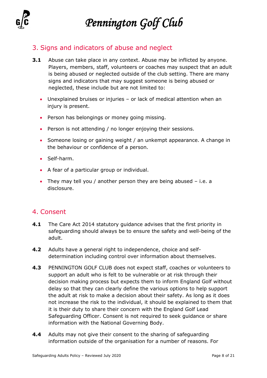## <span id="page-7-0"></span>3. Signs and indicators of abuse and neglect

- **3.1** Abuse can take place in any context. Abuse may be inflicted by anyone. Players, members, staff, volunteers or coaches may suspect that an adult is being abused or neglected outside of the club setting. There are many signs and indicators that may suggest someone is being abused or neglected, these include but are not limited to:
	- Unexplained bruises or injuries or lack of medical attention when an injury is present.
	- Person has belongings or money going missing.
	- Person is not attending / no longer enjoying their sessions.
	- Someone losing or gaining weight / an unkempt appearance. A change in the behaviour or confidence of a person.
	- Self-harm.
	- A fear of a particular group or individual.
	- They may tell you / another person they are being abused i.e. a disclosure.

## <span id="page-7-1"></span>4. Consent

- **4.1** The Care Act 2014 statutory guidance advises that the first priority in safeguarding should always be to ensure the safety and well-being of the adult.
- **4.2** Adults have a general right to independence, choice and selfdetermination including control over information about themselves.
- **4.3** PENNINGTON GOLF CLUB does not expect staff, coaches or volunteers to support an adult who is felt to be vulnerable or at risk through their decision making process but expects them to inform England Golf without delay so that they can clearly define the various options to help support the adult at risk to make a decision about their safety. As long as it does not increase the risk to the individual, it should be explained to them that it is their duty to share their concern with the England Golf Lead Safeguarding Officer. Consent is not required to seek guidance or share information with the National Governing Body.
- **4.4** Adults may not give their consent to the sharing of safeguarding information outside of the organisation for a number of reasons. For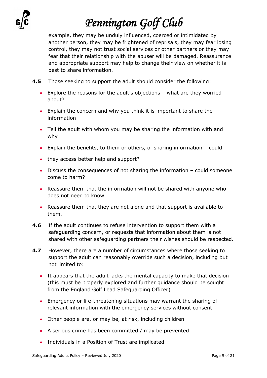

example, they may be unduly influenced, coerced or intimidated by another person, they may be frightened of reprisals, they may fear losing control, they may not trust social services or other partners or they may fear that their relationship with the abuser will be damaged. Reassurance and appropriate support may help to change their view on whether it is best to share information.

- **4.5** Those seeking to support the adult should consider the following:
	- Explore the reasons for the adult's objections what are they worried about?
	- Explain the concern and why you think it is important to share the information
	- Tell the adult with whom you may be sharing the information with and why
	- Explain the benefits, to them or others, of sharing information could
	- they access better help and support?
	- Discuss the consequences of not sharing the information could someone come to harm?
	- Reassure them that the information will not be shared with anyone who does not need to know
	- Reassure them that they are not alone and that support is available to them.
- **4.6** If the adult continues to refuse intervention to support them with a safeguarding concern, or requests that information about them is not shared with other safeguarding partners their wishes should be respected.
- **4.7** However, there are a number of circumstances where those seeking to support the adult can reasonably override such a decision, including but not limited to:
	- It appears that the adult lacks the mental capacity to make that decision (this must be properly explored and further guidance should be sought from the England Golf Lead Safeguarding Officer)
	- Emergency or life-threatening situations may warrant the sharing of relevant information with the emergency services without consent
	- Other people are, or may be, at risk, including children
	- A serious crime has been committed / may be prevented
	- Individuals in a Position of Trust are implicated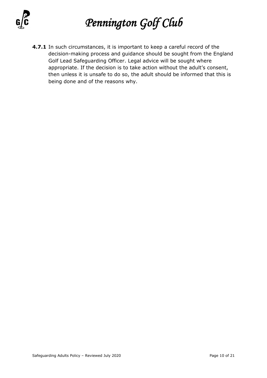**4.7.1** In such circumstances, it is important to keep a careful record of the decision-making process and guidance should be sought from the England Golf Lead Safeguarding Officer. Legal advice will be sought where appropriate. If the decision is to take action without the adult's consent, then unless it is unsafe to do so, the adult should be informed that this is being done and of the reasons why.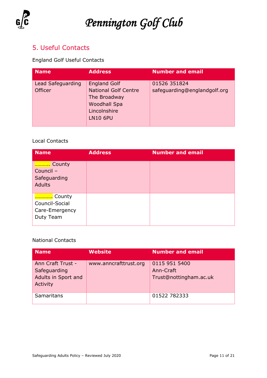

## <span id="page-10-0"></span>5. Useful Contacts

### England Golf Useful Contacts

| <b>Name</b>                         | <b>Address</b>                                                                                                               | <b>Number and email</b>                      |
|-------------------------------------|------------------------------------------------------------------------------------------------------------------------------|----------------------------------------------|
| Lead Safeguarding<br><b>Officer</b> | <b>England Golf</b><br><b>National Golf Centre</b><br>The Broadway<br><b>Woodhall Spa</b><br>Lincolnshire<br><b>LN10 6PU</b> | 01526 351824<br>safeguarding@englandgolf.org |

### Local Contacts

| <b>Name</b>                                             | <b>Address</b> | <b>Number and email</b> |
|---------------------------------------------------------|----------------|-------------------------|
| County<br>Council -<br>Safeguarding<br><b>Adults</b>    |                |                         |
| County<br>Council-Social<br>Care-Emergency<br>Duty Team |                |                         |

### National Contacts

| <b>Name</b>                                                          | <b>Website</b>        | <b>Number and email</b>                              |
|----------------------------------------------------------------------|-----------------------|------------------------------------------------------|
| Ann Craft Trust -<br>Safeguarding<br>Adults in Sport and<br>Activity | www.anncrafttrust.org | 0115 951 5400<br>Ann-Craft<br>Trust@nottingham.ac.uk |
| Samaritans                                                           |                       | 01522 782333                                         |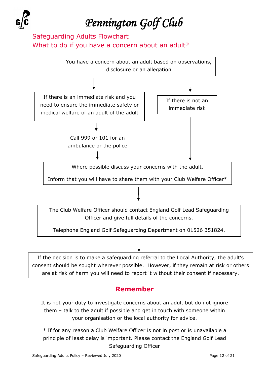<span id="page-11-0"></span>Safeguarding Adults Flowchart What to do if you have a concern about an adult?



## **Remember**

It is not your duty to investigate concerns about an adult but do not ignore them – talk to the adult if possible and get in touch with someone within your organisation or the local authority for advice.

\* If for any reason a Club Welfare Officer is not in post or is unavailable a principle of least delay is important. Please contact the England Golf Lead Safeguarding Officer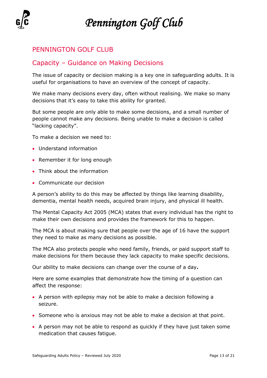

## <span id="page-12-0"></span>PENNINGTON GOLF CLUB

### Capacity – Guidance on Making Decisions

The issue of capacity or decision making is a key one in safeguarding adults. It is useful for organisations to have an overview of the concept of capacity.

We make many decisions every day, often without realising. We make so many decisions that it's easy to take this ability for granted.

But some people are only able to make some decisions, and a small number of people cannot make any decisions. Being unable to make a decision is called "lacking capacity".

To make a decision we need to:

- Understand information
- Remember it for long enough
- Think about the information
- Communicate our decision

A person's ability to do this may be affected by things like learning disability, dementia, mental health needs, acquired brain injury, and physical ill health.

The Mental Capacity Act 2005 (MCA) states that every individual has the right to make their own decisions and provides the framework for this to happen.

The MCA is about making sure that people over the age of 16 have the support they need to make as many decisions as possible.

The MCA also protects people who need family, friends, or paid support staff to make decisions for them because they lack capacity to make specific decisions.

Our ability to make decisions can change over the course of a day**.**

Here are some examples that demonstrate how the timing of a question can affect the response:

- A person with epilepsy may not be able to make a decision following a seizure.
- Someone who is anxious may not be able to make a decision at that point.
- A person may not be able to respond as quickly if they have just taken some medication that causes fatigue.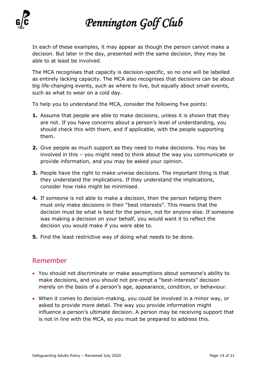

In each of these examples, it may appear as though the person cannot make a decision. But later in the day, presented with the same decision, they may be able to at least be involved.

The MCA recognises that capacity is decision-specific, so no one will be labelled as entirely lacking capacity. The MCA also recognises that decisions can be about big life-changing events, such as where to live, but equally about small events, such as what to wear on a cold day.

To help you to understand the MCA, consider the following five points:

- **1.** Assume that people are able to make decisions, unless it is shown that they are not. If you have concerns about a person's level of understanding, you should check this with them, and if applicable, with the people supporting them.
- **2.** Give people as much support as they need to make decisions. You may be involved in this – you might need to think about the way you communicate or provide information, and you may be asked your opinion.
- **3.** People have the right to make unwise decisions. The important thing is that they understand the implications. If they understand the implications, consider how risks might be minimised.
- **4.** If someone is not able to make a decision, then the person helping them must only make decisions in their "best interests". This means that the decision must be what is best for the person, not for anyone else. If someone was making a decision on your behalf, you would want it to reflect the decision you would make if you were able to.
- **5.** Find the least restrictive way of doing what needs to be done.

### Remember

- You should not discriminate or make assumptions about someone's ability to make decisions, and you should not pre-empt a "best-interests" decision merely on the basis of a person's age, appearance, condition, or behaviour.
- When it comes to decision-making, you could be involved in a minor way, or asked to provide more detail. The way you provide information might influence a person's ultimate decision. A person may be receiving support that is not in line with the MCA, so you must be prepared to address this.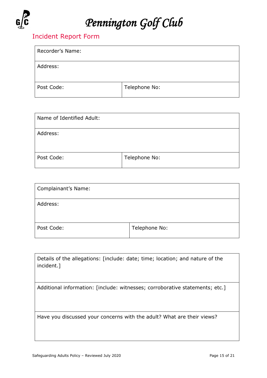

## <span id="page-14-0"></span>Incident Report Form

| Recorder's Name: |               |
|------------------|---------------|
| Address:         |               |
| Post Code:       | Telephone No: |

| Name of Identified Adult: |               |
|---------------------------|---------------|
| Address:                  |               |
| Post Code:                | Telephone No: |

| Complainant's Name: |               |
|---------------------|---------------|
| Address:            |               |
| Post Code:          | Telephone No: |

| Details of the allegations: [include: date; time; location; and nature of the<br>incident.] |
|---------------------------------------------------------------------------------------------|
| Additional information: [include: witnesses; corroborative statements; etc.]                |
| Have you discussed your concerns with the adult? What are their views?                      |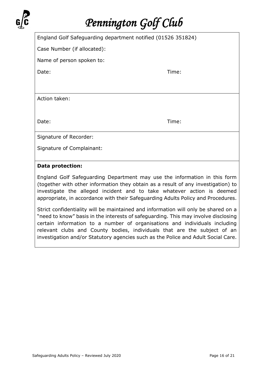| u<br>l |
|--------|
|        |

| England Golf Safeguarding department notified (01526 351824) |       |  |
|--------------------------------------------------------------|-------|--|
| Case Number (if allocated):                                  |       |  |
| Name of person spoken to:                                    |       |  |
| Date:                                                        | Time: |  |
|                                                              |       |  |
| Action taken:                                                |       |  |
| Date:                                                        | Time: |  |
| Signature of Recorder:                                       |       |  |
| Signature of Complainant:                                    |       |  |

### **Data protection:**

England Golf Safeguarding Department may use the information in this form (together with other information they obtain as a result of any investigation) to investigate the alleged incident and to take whatever action is deemed appropriate, in accordance with their Safeguarding Adults Policy and Procedures.

Strict confidentiality will be maintained and information will only be shared on a "need to know" basis in the interests of safeguarding. This may involve disclosing certain information to a number of organisations and individuals including relevant clubs and County bodies, individuals that are the subject of an investigation and/or Statutory agencies such as the Police and Adult Social Care.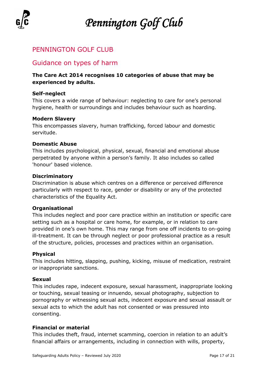

## <span id="page-16-0"></span>PENNINGTON GOLF CLUB

### Guidance on types of harm

### **The Care Act 2014 recognises 10 categories of abuse that may be experienced by adults.**

### **Self-neglect**

This covers a wide range of behaviour: neglecting to care for one's personal hygiene, health or surroundings and includes behaviour such as hoarding.

### **Modern Slavery**

This encompasses slavery, human trafficking, forced labour and domestic servitude.

### **Domestic Abuse**

This includes psychological, physical, sexual, financial and emotional abuse perpetrated by anyone within a person's family. It also includes so called 'honour' based violence.

### **Discriminatory**

Discrimination is abuse which centres on a difference or perceived difference particularly with respect to race, gender or disability or any of the protected characteristics of the Equality Act.

### **Organisational**

This includes neglect and poor care practice within an institution or specific care setting such as a hospital or care home, for example, or in relation to care provided in one's own home. This may range from one off incidents to on-going ill-treatment. It can be through neglect or poor professional practice as a result of the structure, policies, processes and practices within an organisation.

### **Physical**

This includes hitting, slapping, pushing, kicking, misuse of medication, restraint or inappropriate sanctions.

### **Sexual**

This includes rape, indecent exposure, sexual harassment, inappropriate looking or touching, sexual teasing or innuendo, sexual photography, subjection to pornography or witnessing sexual acts, indecent exposure and sexual assault or sexual acts to which the adult has not consented or was pressured into consenting.

### **Financial or material**

This includes theft, fraud, internet scamming, coercion in relation to an adult's financial affairs or arrangements, including in connection with wills, property,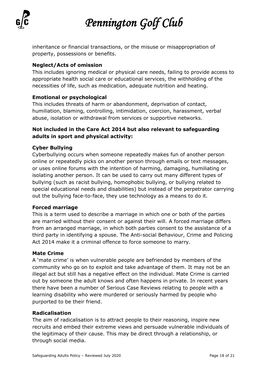

inheritance or financial transactions, or the misuse or misappropriation of property, possessions or benefits.

### **Neglect/Acts of omission**

This includes ignoring medical or physical care needs, failing to provide access to appropriate health social care or educational services, the withholding of the necessities of life, such as medication, adequate nutrition and heating.

### **Emotional or psychological**

This includes threats of harm or abandonment, deprivation of contact, humiliation, blaming, controlling, intimidation, coercion, harassment, verbal abuse, isolation or withdrawal from services or supportive networks.

### **Not included in the Care Act 2014 but also relevant to safeguarding adults in sport and physical activity:**

### **Cyber Bullying**

Cyberbullying occurs when someone repeatedly makes fun of another person online or repeatedly picks on another person through emails or text messages, or uses online forums with the intention of harming, damaging, humiliating or isolating another person. It can be used to carry out many different types of bullying (such as racist bullying, homophobic bullying, or bullying related to special educational needs and disabilities) but instead of the perpetrator carrying out the bullying face-to-face, they use technology as a means to do it.

### **Forced marriage**

This is a term used to describe a marriage in which one or both of the parties are married without their consent or against their will. A forced marriage differs from an arranged marriage, in which both parties consent to the assistance of a third party in identifying a spouse. The Anti-social Behaviour, Crime and Policing Act 2014 make it a criminal offence to force someone to marry.

### **Mate Crime**

A 'mate crime' is when vulnerable people are befriended by members of the community who go on to exploit and take advantage of them. It may not be an illegal act but still has a negative effect on the individual. Mate Crime is carried out by someone the adult knows and often happens in private. In recent years there have been a number of Serious Case Reviews relating to people with a learning disability who were murdered or seriously harmed by people who purported to be their friend.

### **Radicalisation**

The aim of radicalisation is to attract people to their reasoning, inspire new recruits and embed their extreme views and persuade vulnerable individuals of the legitimacy of their cause. This may be direct through a relationship, or through social media.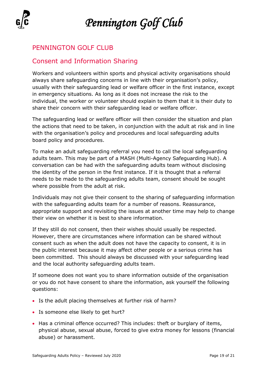

## <span id="page-18-0"></span>PENNINGTON GOLF CLUB

## Consent and Information Sharing

Workers and volunteers within sports and physical activity organisations should always share safeguarding concerns in line with their organisation's policy, usually with their safeguarding lead or welfare officer in the first instance, except in emergency situations. As long as it does not increase the risk to the individual, the worker or volunteer should explain to them that it is their duty to share their concern with their safeguarding lead or welfare officer.

The safeguarding lead or welfare officer will then consider the situation and plan the actions that need to be taken, in conjunction with the adult at risk and in line with the organisation's policy and procedures and local safeguarding adults board policy and procedures.

To make an adult safeguarding referral you need to call the local safeguarding adults team. This may be part of a MASH (Multi*-*Agency Safeguarding Hub). A conversation can be had with the safeguarding adults team without disclosing the identity of the person in the first instance. If it is thought that a referral needs to be made to the safeguarding adults team, consent should be sought where possible from the adult at risk.

Individuals may not give their consent to the sharing of safeguarding information with the safeguarding adults team for a number of reasons. Reassurance, appropriate support and revisiting the issues at another time may help to change their view on whether it is best to share information.

If they still do not consent, then their wishes should usually be respected. However, there are circumstances where information can be shared without consent such as when the adult does not have the capacity to consent, it is in the public interest because it may affect other people or a serious crime has been committed. This should always be discussed with your safeguarding lead and the local authority safeguarding adults team.

If someone does not want you to share information outside of the organisation or you do not have consent to share the information, ask yourself the following questions:

- Is the adult placing themselves at further risk of harm?
- Is someone else likely to get hurt?
- Has a criminal offence occurred? This includes: theft or burglary of items, physical abuse, sexual abuse, forced to give extra money for lessons (financial abuse) or harassment.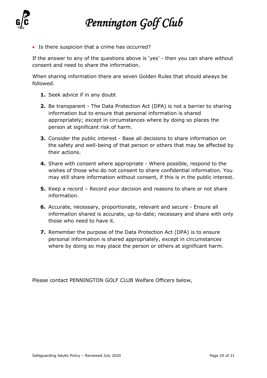*Pennington Golf Club*



• Is there suspicion that a crime has occurred?

If the answer to any of the questions above is 'yes' - then you can share without consent and need to share the information.

When sharing information there are seven Golden Rules that should always be followed.

- **1.** Seek advice if in any doubt
- **2.** Be transparent The Data Protection Act (DPA) is not a barrier to sharing information but to ensure that personal information is shared appropriately; except in circumstances where by doing so places the person at significant risk of harm.
- **3.** Consider the public interest Base all decisions to share information on the safety and well-being of that person or others that may be affected by their actions.
- **4.** Share with consent where appropriate Where possible, respond to the wishes of those who do not consent to share confidential information. You may still share information without consent, if this is in the public interest.
- **5.** Keep a record Record your decision and reasons to share or not share information.
- **6.** Accurate, necessary, proportionate, relevant and secure Ensure all information shared is accurate, up-to-date; necessary and share with only those who need to have it.
- **7.** Remember the purpose of the Data Protection Act (DPA) is to ensure personal information is shared appropriately, except in circumstances where by doing so may place the person or others at significant harm.

Please contact PENNINGTON GOLF CLUB Welfare Officers below,